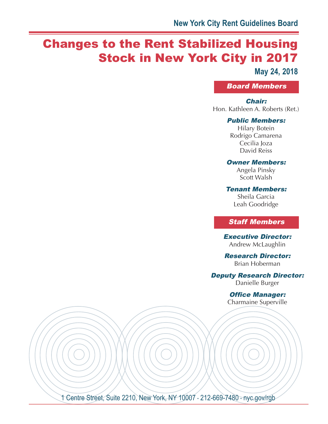# Changes to the Rent Stabilized Housing Stock in New York City in 2017

**May 24, 2018**

Board Members

#### Chair:

Hon. Kathleen A. Roberts (Ret.)

#### Public Members:

Hilary Botein Rodrigo Camarena Cecilia Joza David Reiss

#### Owner Members:

Angela Pinsky Scott Walsh

Tenant Members:

Sheila Garcia Leah Goodridge

### Staff Members

Executive Director: Andrew McLaughlin

Research Director: Brian Hoberman

Deputy Research Director:

Danielle Burger

Office Manager: Charmaine Superville

1 Centre Street, Suite 2210, New York, NY 10007 · 212-669-7480 · nyc.gov/rgb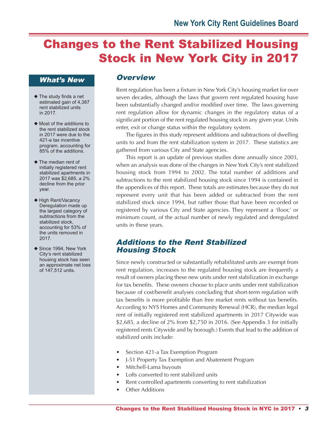# Changes to the Rent Stabilized Housing Stock in New York City in 2017

### What's New

- ◆ The study finds a net estimated gain of 4,387 rent stabilized units in 2017.
- ◆ Most of the additions to the rent stabilized stock in 2017 were due to the 421-a tax incentive program, accounting for 85% of the additions.
- ◆ The median rent of initially registered rent stabilized apartments in 2017 was \$2,685, a 2% decline from the prior year.
- ◆ High Rent/Vacancy Deregulation made up the largest category of subtractions from the stabilized stock, accounting for 53% of the units removed in 2017.
- ◆ Since 1994, New York City's rent stabilized housing stock has seen an approximate net loss of 147,512 units.

## **Overview**

Rent regulation has been a fixture in NewYork City's housing market for over seven decades, although the laws that govern rent regulated housing have been substantially changed and/or modified over time. The laws governing rent regulation allow for dynamic changes in the regulatory status of a significant portion of the rent regulated housing stock in any given year. Units enter, exit or change status within the regulatory system.

The figures in this study represent additions and subtractions of dwelling units to and from the rent stabilization system in 2017. These statistics are gathered from various City and State agencies.

This report is an update of previous studies done annually since 2003, when an analysis was done of the changes in New York City's rent stabilized housing stock from 1994 to 2002. The total number of additions and subtractions to the rent stabilized housing stock since 1994 is contained in the appendices of this report. These totals are estimates because they do not represent every unit that has been added or subtracted from the rent stabilized stock since 1994, but rather those that have been recorded or registered by various City and State agencies. They represent a 'floor,' or minimum count, of the actual number of newly regulated and deregulated units in these years.

## Additions to the Rent Stabilized Housing Stock

Since newly constructed or substantially rehabilitated units are exempt from rent regulation, increases to the regulated housing stock are frequently a result of owners placing these new units under rent stabilization in exchange for tax benefits. These owners choose to place units under rent stabilization because of cost/benefit analyses concluding that short-term regulation with tax benefits is more profitable than free market rents without tax benefits. According to NYS Homes and Community Renewal (HCR), the median legal rent of initially registered rent stabilized apartments in 2017 Citywide was \$2,685, a decline of 2% from \$2,750 in 2016. (See Appendix 3 for initially registered rents Citywide and by borough.) Events that lead to the addition of stabilized units include:

- Section 421-a Tax Exemption Program
- J-51 Property Tax Exemption and Abatement Program
- Mitchell-Lama buyouts
- Lofts converted to rent stabilized units
- Rent controlled apartments converting to rent stabilization
- **Other Additions**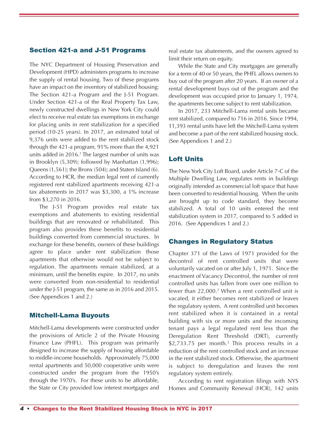#### Section 421-a and J-51 Programs

The NYC Department of Housing Preservation and Development (HPD) administers programs to increase the supply of rental housing. Two of these programs have an impact on the inventory of stabilized housing: The Section 421-a Program and the J-51 Program. Under Section 421-a of the Real Property Tax Law, newly constructed dwellings in New York City could elect to receive real estate tax exemptions in exchange for placing units in rent stabilization for a specified period (10-25 years). In 2017, an estimated total of 9,376 units were added to the rent stabilized stock through the 421-a program, 91% more than the 4,921 units added in 2016. <sup>1</sup> The largest number of units was in Brooklyn (5,309); followed by Manhattan (1,996); Queens (1,561); the Bronx (504); and Staten Island (6). According to HCR, the median legal rent of currently registered rent stabilized apartments receiving 421-a tax abatements in 2017 was \$3,300, a 1% increase from \$3,270 in 2016.

The J-51 Program provides real estate tax exemptions and abatements to existing residential buildings that are renovated or rehabilitated. This program also provides these benefits to residential buildings converted from commercial structures. In exchange for these benefits, owners of these buildings agree to place under rent stabilization those apartments that otherwise would not be subject to regulation. The apartments remain stabilized, at a minimum, until the benefits expire. In 2017, no units were converted from non-residential to residential under the J-51 program, the same as in 2016 and 2015. (See Appendices 1 and 2.)

#### Mitchell-Lama Buyouts

Mitchell-Lama developments were constructed under the provisions of Article 2 of the Private Housing Finance Law (PHFL). This program was primarily designed to increase the supply of housing affordable to middle-income households. Approximately 75,000 rental apartments and 50,000 cooperative units were constructed under the program from the 1950's through the 1970's. For these units to be affordable, the State or City provided low interest mortgages and

real estate tax abatements, and the owners agreed to limit their return on equity.

While the State and City mortgages are generally for a term of 40 or 50 years, the PHFL allows owners to buy out of the program after 20 years. If an owner of a rental development buys out of the program and the development was occupied prior to January 1, 1974, the apartments become subject to rent stabilization.

In 2017, 233 Mitchell-Lama rental units became rent stabilized, compared to 716 in 2016. Since 1994, 11,393 rental units have left the Mitchell-Lama system and become a part of the rent stabilized housing stock. (See Appendices 1 and 2.)

#### Loft Units

The NewYork City Loft Board, under Article 7-C of the Multiple Dwelling Law, regulates rents in buildings originally intended as commercial loft space that have been converted to residential housing. When the units are brought up to code standard, they become stabilized. A total of 10 units entered the rent stabilization system in 2017, compared to 5 added in 2016. (See Appendices 1 and 2.)

#### Changes in Regulatory Status

Chapter 371 of the Laws of 1971 provided for the decontrol of rent controlled units that were voluntarily vacated on or after July 1, 1971. Since the enactment of Vacancy Decontrol, the number of rent controlled units has fallen from over one million to fewer than 22,000. <sup>2</sup> When a rent controlled unit is vacated, it either becomes rent stabilized or leaves the regulatory system. A rent controlled unit becomes rent stabilized when it is contained in a rental building with six or more units and the incoming tenant pays a legal regulated rent less than the Deregulation Rent Threshold (DRT), currently \$2,733.75 per month. <sup>3</sup> This process results in a reduction of the rent controlled stock and an increase in the rent stabilized stock. Otherwise, the apartment is subject to deregulation and leaves the rent regulatory system entirely.

According to rent registration filings with NYS Homes and Community Renewal (HCR), 142 units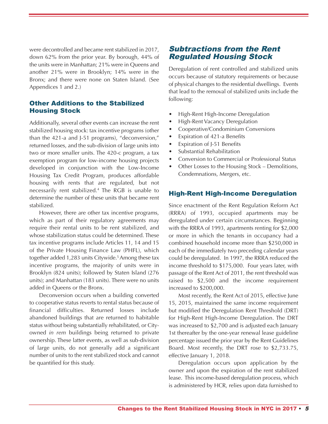were decontrolled and became rent stabilized in 2017, down 62% from the prior year. By borough, 44% of the units were in Manhattan; 21% were in Queens and another 21% were in Brooklyn; 14% were in the Bronx; and there were none on Staten Island. (See Appendices 1 and 2.)

#### Other Additions to the Stabilized Housing Stock

Additionally, several other events can increase the rent stabilized housing stock: tax incentive programs (other than the 421-a and J-51 programs), "deconversion," returned losses, and the sub-division of large units into two or more smaller units. The 420-c program, a tax exemption program for low-income housing projects developed in conjunction with the Low-Income Housing Tax Credit Program, produces affordable housing with rents that are regulated, but not necessarily rent stabilized. <sup>4</sup> The RGB is unable to determine the number of these units that became rent stabilized.

However, there are other tax incentive programs, which as part of their regulatory agreements may require their rental units to be rent stabilized, and whose stabilization status could be determined. These tax incentive programs include Articles 11, 14 and 15 of the Private Housing Finance Law (PHFL), which together added 1,283 units Citywide. 5Among these tax incentive programs, the majority of units were in Brooklyn (824 units); followed by Staten Island (276 units); and Manhattan (183 units). There were no units added in Queens or the Bronx.

Deconversion occurs when a building converted to cooperative status reverts to rental status because of financial difficulties. Returned losses include abandoned buildings that are returned to habitable status without being substantially rehabilitated, or Cityowned *in rem* buildings being returned to private ownership. These latter events, as well as sub-division of large units, do not generally add a significant number of units to the rent stabilized stock and cannot be quantified for this study.

## Subtractions from the Rent Regulated Housing Stock

Deregulation of rent controlled and stabilized units occurs because of statutory requirements or because of physical changes to the residential dwellings. Events that lead to the removal of stabilized units include the following:

- High-Rent High-Income Deregulation
- High-Rent Vacancy Deregulation
- Cooperative/Condominium Conversions
- Expiration of 421-a Benefits
- Expiration of J-51 Benefits
- Substantial Rehabilitation
- Conversion to Commercial or Professional Status
- Other Losses to the Housing Stock Demolitions, Condemnations, Mergers, etc.

#### High-Rent High-Income Deregulation

Since enactment of the Rent Regulation Reform Act (RRRA) of 1993, occupied apartments may be deregulated under certain circumstances. Beginning with the RRRA of 1993, apartments renting for \$2,000 or more in which the tenants in occupancy had a combined household income more than \$250,000 in each of the immediately two preceding calendar years could be deregulated. In 1997, the RRRA reduced the income threshold to \$175,000. Four years later, with passage of the Rent Act of 2011, the rent threshold was raised to \$2,500 and the income requirement increased to \$200,000.

Most recently, the Rent Act of 2015, effective June 15, 2015, maintained the same income requirement but modified the Deregulation Rent Threshold (DRT) for High-Rent High-Income Deregulation. The DRT was increased to \$2,700 and is adjusted each January 1st thereafter by the one-year renewal lease guideline percentage issued the prior year by the Rent Guidelines Board. Most recently, the DRT rose to \$2,733.75, effective January 1, 2018.

Deregulation occurs upon application by the owner and upon the expiration of the rent stabilized lease. This income-based deregulation process, which is administered by HCR, relies upon data furnished to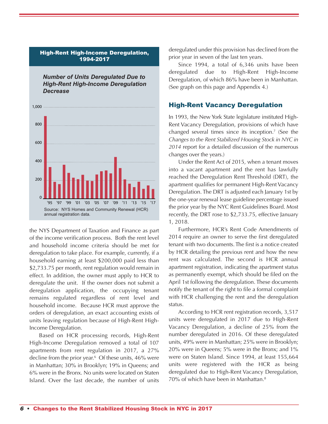#### High-Rent High-Income Deregulation, 1994-2017

*Number of Units Deregulated Due to High-Rent High-Income Deregulation Decrease*



the NYS Department of Taxation and Finance as part of the income verification process. Both the rent level and household income criteria should be met for deregulation to take place. For example, currently, if a household earning at least \$200,000 paid less than \$2,733.75 per month, rent regulation would remain in effect. In addition, the owner must apply to HCR to deregulate the unit. If the owner does not submit a deregulation application, the occupying tenant remains regulated regardless of rent level and household income. Because HCR must approve the orders of deregulation, an exact accounting exists of units leaving regulation because of High-Rent High-Income Deregulation.

Based on HCR processing records, High-Rent High-Income Deregulation removed a total of 107 apartments from rent regulation in 2017, a 27% decline from the prior year. <sup>6</sup> Of these units, 46% were in Manhattan; 30% in Brooklyn; 19% in Queens; and 6% were in the Bronx. No units were located on Staten Island. Over the last decade, the number of units deregulated under this provision has declined from the prior year in seven of the last ten years.

Since 1994, a total of 6,346 units have been deregulated due to High-Rent High-Income Deregulation, of which 86% have been in Manhattan. (See graph on this page and Appendix 4.)

#### High-Rent Vacancy Deregulation

In 1993, the New York State legislature instituted High-Rent Vacancy Deregulation, provisions of which have changed several times since its inception. <sup>7</sup> (See the *Changes to the Rent Stabilized Housing Stock in NYC in 2014* report for a detailed discussion of the numerous changes over the years.)

Under the Rent Act of 2015, when a tenant moves into a vacant apartment and the rent has lawfully reached the Deregulation Rent Threshold (DRT), the apartment qualifies for permanent High-Rent Vacancy Deregulation. The DRT is adjusted each January 1st by the one-year renewal lease guideline percentage issued the prior year by the NYC Rent Guidelines Board. Most recently, the DRT rose to \$2,733.75, effective January 1, 2018.

Furthermore, HCR's Rent Code Amendments of 2014 require an owner to serve the first deregulated tenant with two documents. The first is a notice created by HCR detailing the previous rent and how the new rent was calculated. The second is HCR annual apartment registration, indicating the apartment status as permanently exempt, which should be filed on the April 1st following the deregulation. These documents notify the tenant of the right to file a formal complaint with HCR challenging the rent and the deregulation status.

According to HCR rent registration records, 3,517 units were deregulated in 2017 due to High-Rent Vacancy Deregulation, a decline of 25% from the number deregulated in 2016. Of these deregulated units, 49% were in Manhattan; 25% were in Brooklyn; 20% were in Queens; 5% were in the Bronx; and 1% were on Staten Island. Since 1994, at least 155,664 units were registered with the HCR as being deregulated due to High-Rent Vacancy Deregulation, 70% of which have been in Manhattan. 8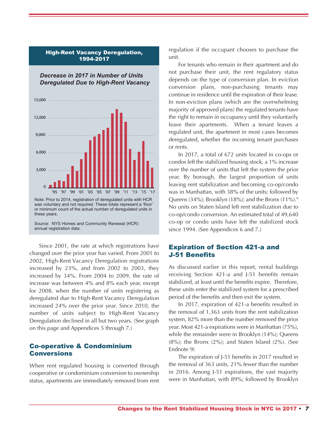

High-Rent Vacancy Deregulation, 1994-2017

Source: NYS Homes and Community Renewal (HCR) annual registration data.

Since 2001, the rate at which registrations have changed over the prior year has varied. From 2001 to 2002, High-Rent Vacancy Deregulation registrations increased by 23%, and from 2002 to 2003, they increased by 34%. From 2004 to 2009, the rate of increase was between 4% and 8% each year, except for 2008, when the number of units registering as deregulated due to High-Rent Vacancy Deregulation increased 24% over the prior year. Since 2010, the number of units subject to High-Rent Vacancy Deregulation declined in all but two years. (See graph on this page and Appendices 5 through 7.)

#### Co-operative & Condominium Conversions

When rent regulated housing is converted through cooperative or condominium conversion to ownership status, apartments are immediately removed from rent regulation if the occupant chooses to purchase the unit.

For tenants who remain in their apartment and do not purchase their unit, the rent regulatory status depends on the type of conversion plan. In eviction conversion plans, non-purchasing tenants may continue in residence until the expiration of their lease. In non-eviction plans (which are the overwhelming majority of approved plans) the regulated tenants have the right to remain in occupancy until they voluntarily leave their apartments. When a tenant leaves a regulated unit, the apartment in most cases becomes deregulated, whether the incoming tenant purchases or rents.

In 2017, a total of 672 units located in co-ops or condos left the stabilized housing stock, a 1% increase over the number of units that left the system the prior year. By borough, the largest proportion of units leaving rent stabilization and becoming co-op/condo was in Manhattan, with 38% of the units; followed by Queens (34%); Brooklyn (18%); and the Bronx (11%). 9 No units on Staten Island left rent stabilization due to co-op/condo conversion. An estimated total of 49,640 co-op or condo units have left the stabilized stock since 1994. (See Appendices 6 and 7.)

#### Expiration of Section 421-a and J-51 Benefits

As discussed earlier in this report, rental buildings receiving Section 421-a and J-51 benefits remain stabilized, at least until the benefits expire. Therefore, these units enter the stabilized system for a prescribed period of the benefits and then exit the system.

In 2017, expiration of 421-a benefits resulted in the removal of 1,363 units from the rent stabilization system, 82% more than the number removed the prior year. Most 421-a expirations were in Manhattan (75%), while the remainder were in Brooklyn (14%); Queens  $(8\%)$ ; the Bronx  $(2\%)$ ; and Staten Island  $(2\%)$ . (See Endnote 9)

The expiration of J-51 benefits in 2017 resulted in the removal of 363 units, 21% fewer than the number in 2016. Among J-51 expirations, the vast majority were in Manhattan, with 89%; followed by Brooklyn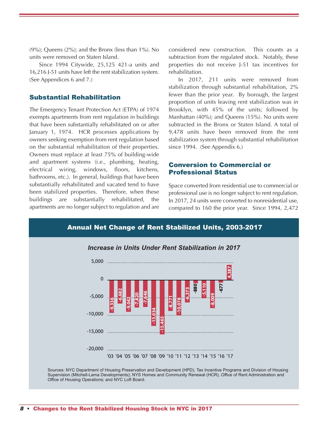(9%); Queens (2%); and the Bronx (less than 1%). No units were removed on Staten Island.

Since 1994 Citywide, 25,125 421-a units and 16,216 J-51 units have left the rent stabilization system. (See Appendices 6 and 7.)

#### Substantial Rehabilitation

The Emergency Tenant Protection Act (ETPA) of 1974 exempts apartments from rent regulation in buildings that have been substantially rehabilitated on or after January 1, 1974. HCR processes applications by owners seeking exemption from rent regulation based on the substantial rehabilitation of their properties. Owners must replace at least 75% of building-wide and apartment systems (i.e., plumbing, heating, electrical wiring, windows, floors, kitchens, bathrooms, etc.). In general, buildings that have been substantially rehabilitated and vacated tend to have been stabilized properties. Therefore, when these buildings are substantially rehabilitated, the apartments are no longer subject to regulation and are

considered new construction. This counts as a subtraction from the regulated stock. Notably, these properties do not receive J-51 tax incentives for rehabilitation.

In 2017, 211 units were removed from stabilization through substantial rehabilitation, 2% fewer than the prior year. By borough, the largest proportion of units leaving rent stabilization was in Brooklyn, with 45% of the units; followed by Manhattan (40%); and Queens (15%). No units were subtracted in the Bronx or Staten Island. A total of 9,478 units have been removed from the rent stabilization system through substantial rehabilitation since 1994. (See Appendix 6.)

#### Conversion to Commercial or Professional Status

Space converted from residential use to commercial or professional use is no longer subject to rent regulation. In 2017, 24 units were converted to nonresidential use, compared to 160 the prior year. Since 1994, 2,472

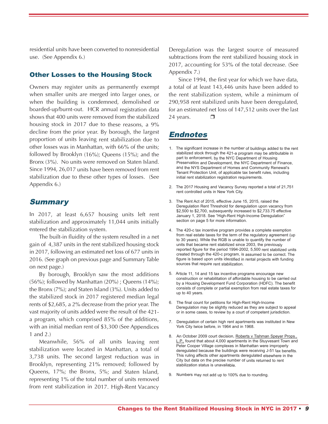residential units have been converted to nonresidential use. (See Appendix 6.)

#### Other Losses to the Housing Stock

Owners may register units as permanently exemp<sup>t</sup> when smaller units are merged into larger ones, or when the building is condemned, demolished or boarded-up/burnt-out. HCR annual registration data shows that 400 units were removed from the stabilized housing stock in <sup>2017</sup> due to these reasons, <sup>a</sup> 9% decline from the prior year. By borough, the largest proportion of units leaving rent stabilization due to other losses was in Manhattan, with 66% of the units; followed by Brooklyn (16%); Queens (15%); and the Bronx (3%). No units were removed on Staten Island. Since 1994, 26,017 units have been removed from rent stabilization due to these other types of losses. (See Appendix 6.)

#### **Summary**

In 2017, at least 6,657 housing units left rent stabilization and approximately 11,044 units initially entered the stabilization system.

The built-in fluidity of the system resulted in <sup>a</sup> net gain of 4,387 units in the rent stabilized housing stock in 2017, following an estimated net loss of <sup>677</sup> units in 2016. (See graph on previous page and Summary Table on next page.)

By borough, Brooklyn saw the most additions  $(56\%)$ ; followed by Manhattan  $(20\%)$ ; Queens  $(14\%)$ ; the Bronx (7%); and Staten Island (3%). Units added to the stabilized stock in <sup>2017</sup> registered median legal rents of \$2,685, <sup>a</sup> 2% decrease from the prior year. The vast majority of units added were the result of the 421 <sup>a</sup> program, which comprised 85% of the additions, with an initial median rent of \$3,300 (See Appendices 1 and 2.)

Meanwhile, 56% of all units leaving rent stabilization were located in Manhattan, <sup>a</sup> total of 3,738 units. The second largest reduction was in Brooklyn, representing 21% removed; followed by Queens, 17%; the Bronx, 5%; and Staten Island, representing 1% of the total number of units removed from rent stabilization in 2017. High-Rent Vacancy

Deregulation was the largest source of measured subtractions from the rent stabilized housing stock in 2017, accounting for 53% of the total decrease. (See Appendix 7.)

Since 1994, the first year for which we have data, <sup>a</sup> total of at least 143,446 units have been added to the rent stabilization system, while <sup>a</sup> minimum of 290,958 rent stabilized units have been deregulated, for an estimated net loss of 147,512 units over the last 24 years.  $\Box$ 

# Endnotes

- 1. The significant increase in the number of buildings added to the rent stabilized stock through the 421-a program may be attributable in part to enforcement, by the NYC Department of Housing Preservation and Development, the NYC Department of Finance, and the NYS Department of Homes and Community Renewal's Tenant Protection Unit, of applicable tax benefit rules, including initial rent stabilization registration requirements.
- 2. The 2017 Housing and Vacancy Survey reported <sup>a</sup> total of 21,751 rent controlled units in New York City.
- 3. The Rent Act of 2015, effective June 15, 2015, raised the Deregulation Rent Threshold for deregulation upon vacancy from \$2,500 to \$2,700, subsequently increased to \$2,733.75 effective January 1, 2018. See "High-Rent High-Income Deregulation" section on page 5 for more information.
- 4. The 420-c tax incentive program provides <sup>a</sup> complete exemption from real estate taxes for the term of the regulatory agreement (up to 30 years). While the RGB is unable to quantify the number of units that became rent stabilized since 2003, the previously reported figure for the period 1994-2002, 5,500 rent stabilized units created through the 420-c program, is assumed to be correct. The figure is based upon units identified in rental projects with funding sources that require rent stabilization.
- 5. Article 11, 14 and 15 tax incentive programs encourage new construction or rehabilitation of affordable housing to be carried out by <sup>a</sup> Housing Development Fund Corporation (HDFC). The benefit consists of complete or partial exemption from real estate taxes for up to 40 years.
- 6. The final count for petitions for High-Rent High-Income Deregulation may be slightly reduced as they are subject to appeal or in some cases, to review by <sup>a</sup> court of competent jurisdiction.
- 7. Deregulation of certain high rent apartments was instituted in New York City twice before, in 1964 and in 1968.
- 8. An October 2009 court decision, Roberts v Tishman Speyer Props., L.P., found that about 4,000 apartments in the Stuyvesant Town and Peter Cooper Village complexes in Manhattan were improperly deregulated because the buildings were receiving J-51 tax benefits. This ruling affects other apartments deregulated elsewhere in the City but data on the precise number of units returned to rent stabilization status is unavailable.
- 9. Numbers may not add up to 100% due to rounding.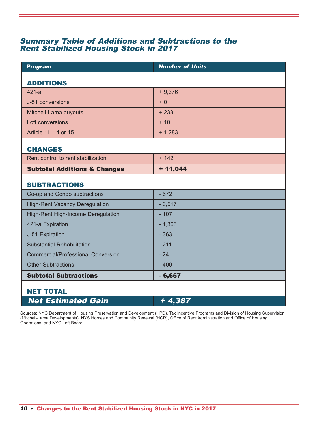### Summary Table of Additions and Subtractions to the Rent Stabilized Housing Stock in 2017

| <b>Program</b>                            | <b>Number of Units</b> |
|-------------------------------------------|------------------------|
| <b>ADDITIONS</b>                          |                        |
|                                           |                        |
| $421-a$                                   | $+9,376$               |
| J-51 conversions                          | $+0$                   |
| Mitchell-Lama buyouts                     | $+233$                 |
| Loft conversions                          | $+10$                  |
| Article 11, 14 or 15                      | $+ 1,283$              |
|                                           |                        |
| <b>CHANGES</b>                            |                        |
| Rent control to rent stabilization        | $+ 142$                |
| <b>Subtotal Additions &amp; Changes</b>   | $+ 11,044$             |
|                                           |                        |
| <b>SUBTRACTIONS</b>                       |                        |
| Co-op and Condo subtractions              | $-672$                 |
| <b>High-Rent Vacancy Deregulation</b>     | $-3,517$               |
| High-Rent High-Income Deregulation        | $-107$                 |
| 421-a Expiration                          | $-1,363$               |
| J-51 Expiration                           | $-363$                 |
| <b>Substantial Rehabilitation</b>         | $-211$                 |
| <b>Commercial/Professional Conversion</b> | $-24$                  |
| <b>Other Subtractions</b>                 | $-400$                 |
| <b>Subtotal Subtractions</b>              | $-6,657$               |
|                                           |                        |
| <b>NET TOTAL</b>                          |                        |
| <b>Net Estimated Gain</b>                 | $+4,387$               |

Sources: NYC Department of Housing Preservation and Development (HPD), Tax Incentive Programs and Division of Housing Supervision (Mitchell-Lama Developments); NYS Homes and Community Renewal (HCR), Office of Rent Administration and Office of Housing Operations; and NYC Loft Board.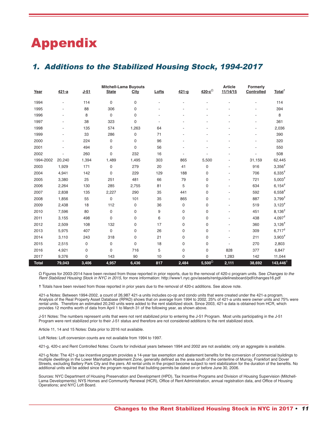# Appendix

## 1. Additions to the Stabilized Housing Stock, 1994-2017

|              |           |        |              | <b>Mitchell-Lama Buyouts</b> |       |           | <b>Article</b>   | Formerly |                   |                      |
|--------------|-----------|--------|--------------|------------------------------|-------|-----------|------------------|----------|-------------------|----------------------|
| Year         | $421 - a$ | $J-51$ | <b>State</b> | City                         | Lofts | $421 - q$ | $420-c^{\Omega}$ | 11/14/15 | <b>Controlled</b> | Total <sup>†</sup>   |
| 1994         |           | 114    | 0            | 0                            |       |           |                  |          |                   | 114                  |
| 1995         |           | 88     | 306          | 0                            |       |           |                  |          |                   | 394                  |
| 1996         |           | 8      | 0            | 0                            |       |           |                  |          |                   | 8                    |
| 1997         |           | 38     | 323          | 0                            |       |           |                  |          |                   | 361                  |
| 1998         |           | 135    | 574          | 1,263                        | 64    |           |                  |          |                   | 2,036                |
| 1999         |           | 33     | 286          | 0                            | 71    |           |                  |          |                   | 390                  |
| 2000         |           | 224    | 0            | 0                            | 96    |           |                  |          |                   | 320                  |
| 2001         |           | 494    | 0            | 0                            | 56    |           |                  |          |                   | 550                  |
| 2002         |           | 260    | 0            | 232                          | 16    |           |                  |          |                   | 508                  |
| 1994-2002    | 20,240    | 1,394  | 1,489        | 1,495                        | 303   | 865       | 5,500            |          | 31,159            | 62,445               |
| 2003         | 1,929     | 171    | 0            | 279                          | 20    | 41        | 0                |          | 916               | $3,356^{\dagger}$    |
| 2004         | 4,941     | 142    | 0            | 229                          | 129   | 188       | 0                |          | 706               | $6,335^{\dagger}$    |
| 2005         | 3,380     | 25     | 251          | 481                          | 66    | 79        | 0                |          | 721               | $5,003^{\dagger}$    |
| 2006         | 2,264     | 130    | 285          | 2,755                        | 81    | 5         | 0                |          | 634               | $6,154^{\dagger}$    |
| 2007         | 2,838     | 135    | 2,227        | 290                          | 35    | 441       | 0                |          | 592               | $6,558$ <sup>†</sup> |
| 2008         | 1,856     | 55     | 0            | 101                          | 35    | 865       | 0                |          | 887               | $3,799^{\dagger}$    |
| 2009         | 2,438     | 18     | 112          | 0                            | 36    | 0         | 0                |          | 519               | $3,123^{\dagger}$    |
| 2010         | 7,596     | 80     | 0            | 0                            | 9     | 0         | 0                |          | 451               | $8,136^{\dagger}$    |
| 2011         | 3,155     | 498    | 0            | 0                            | 6     | 0         | 0                |          | 438               | $4,097^{\dagger}$    |
| 2012         | 2,509     | 108    | 132          | 0                            | 17    | 0         | 0                |          | 360               | $3,126$ <sup>†</sup> |
| 2013         | 5,975     | 407    | 0            | 0                            | 26    | 0         | 0                |          | 309               | $6,717^{\dagger}$    |
| 2014         | 3,110     | 243    | 318          | 0                            | 21    | 0         | 0                |          | 211               | $3,903^{\dagger}$    |
| 2015         | 2,515     | 0      | 0            | $\mathbf 0$                  | 18    | 0         | 0                |          | 270               | 2,803                |
| 2016         | 4,921     | 0      | 0            | 716                          | 5     | 0         | 0                | 828      | 377               | 6,847                |
| 2017         | 9,376     | 0      | 143          | 90                           | 10    | 0         | 0                | 1,283    | 142               | 11,044               |
| <b>Total</b> | 79,043    | 3,406  | 4,957        | 6,436                        | 817   | 2,484     | $5,500^{\Omega}$ | 2,111    | 38,692            | 143,446 <sup>†</sup> |

Ω Figures for 2003-2014 have been revised from those reported in prior reports, due to the removal of 420-c program units. See *Changes to the Rent Stabilized Housing Stock in NYC in 2015*, for more information: http://www1.nyc.gov/assets/rentguidelinesboard/pdf/changes16.pdf

**☨** Totals have been revised from those reported in prior years due to the removal of 420-c additions. See above note.

421-a Notes: Between 1994-2002, a count of 26,987 421-a units includes co-op and condo units that were created under the 421-a program. Analysis of the Real Property Asset Database (RPAD) shows that on average from 1994 to 2002, 25% of 421-a units were owner units and 75% were rental units. Therefore an estimated 20,240 units were added to the rent stabilized stock. Since 2003, 421-a data is obtained from HCR, which provides 12 months worth of data from April 1 to March 31 of the following year, as shown above.

J-51 Notes: The numbers represent units that were not rent stabilized prior to entering the J-51 Program. Most units participating in the J-51 Program were rent stabilized prior to their J-51 status and therefore are not considered additions to the rent stabilized stock.

Article 11, 14 and 15 Notes: Data prior to 2016 not available.

Loft Notes: Loft conversion counts are not available from 1994 to 1997.

421-g, 420-c and Rent Controlled Notes: Counts for individual years between 1994 and 2002 are not available; only an aggregate is available.

421-g Note: The 421-g tax incentive program provides a 14-year tax exemption and abatement benefits for the conversion of commercial buildings to multiple dwellings in the Lower Manhattan Abatement Zone, generally defined as the area south of the centerline of Murray, Frankfort and Dover Streets, excluding Battery Park City and the piers. All rental units in the project become subject to rent stabilization for the duration of the benefits. No additional units will be added since the program required that building permits be dated on or before June 30, 2006.

Sources: NYC Department of Housing Preservation and Development (HPD), Tax Incentive Programs and Division of Housing Supervision (Mitchell-Lama Developments); NYS Homes and Community Renewal (HCR), Office of Rent Administration, annual registration data, and Office of Housing Operations; and NYC Loft Board.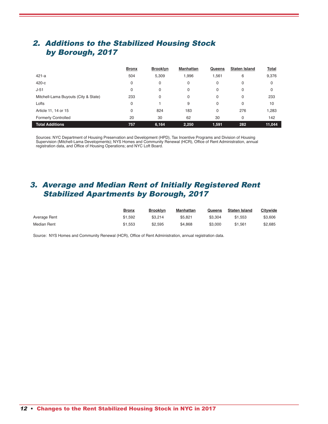# 2. Additions to the Stabilized Housing Stock by Borough, 2017

|                                      | <b>Bronx</b> | <b>Brooklyn</b> | <b>Manhattan</b> | Queens | <b>Staten Island</b> | Total  |
|--------------------------------------|--------------|-----------------|------------------|--------|----------------------|--------|
| $421 - a$                            | 504          | 5,309           | 1,996            | .561   | 6                    | 9,376  |
| 420-с                                | 0            | 0               | 0                | 0      | 0                    | 0      |
| $J-51$                               | 0            | 0               | 0                | 0      | $\Omega$             | 0      |
| Mitchell-Lama Buyouts (City & State) | 233          | 0               | 0                | 0      | $\Omega$             | 233    |
| Lofts                                | 0            |                 | 9                | 0      | $\Omega$             | 10     |
| Article 11, 14 or 15                 | 0            | 824             | 183              | 0      | 276                  | 1,283  |
| <b>Formerly Controlled</b>           | 20           | 30              | 62               | 30     | $\Omega$             | 142    |
| <b>Total Additions</b>               | 757          | 6,164           | 2,250            | 1,591  | 282                  | 11,044 |

Sources: NYC Department of Housing Preservation and Development (HPD), Tax Incentive Programs and Division of Housing Supervision (Mitchell-Lama Developments); NYS Homes and Community Renewal (HCR), Office of Rent Administration, annual registration data, and Office of Housing Operations; and NYC Loft Board.

## 3. Average and Median Rent of Initially Registered Rent Stabilized Apartments by Borough, 2017

|              | <b>Bronx</b> | <b>Brooklyn</b> | Manhattan | Queens  | <b>Staten Island</b> | Citywide |
|--------------|--------------|-----------------|-----------|---------|----------------------|----------|
| Average Rent | \$1.592      | \$3.214         | \$5.821   | \$3.304 | \$1.553              | \$3.606  |
| Median Rent  | \$1.553      | \$2.595         | \$4.868   | \$3,000 | \$1.561              | \$2.685  |

Source: NYS Homes and Community Renewal (HCR), Office of Rent Administration, annual registration data.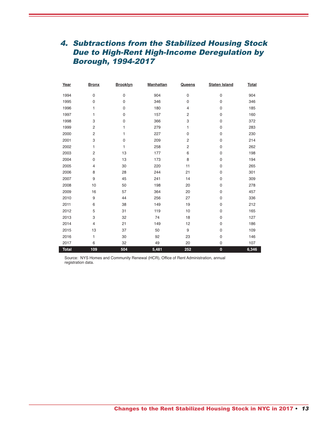# 4. Subtractions from the Stabilized Housing Stock Due to High-Rent High-Income Deregulation by Borough, 1994-2017

| Year         | <b>Bronx</b>   | <b>Brooklyn</b> | <b>Manhattan</b> | Queens         | <b>Staten Island</b> | <b>Total</b> |
|--------------|----------------|-----------------|------------------|----------------|----------------------|--------------|
| 1994         | $\pmb{0}$      | $\pmb{0}$       | 904              | 0              | $\mathsf{O}\xspace$  | 904          |
| 1995         | $\mathbf 0$    | $\mathbf 0$     | 346              | 0              | $\mathsf{O}\xspace$  | 346          |
| 1996         | 1              | $\mathbf 0$     | 180              | $\overline{4}$ | $\mathsf{O}\xspace$  | 185          |
| 1997         | 1              | $\mathbf 0$     | 157              | $\overline{c}$ | $\mathsf{O}\xspace$  | 160          |
| 1998         | 3              | $\pmb{0}$       | 366              | 3              | $\mathsf{O}\xspace$  | 372          |
| 1999         | $\overline{c}$ | 1               | 279              | 1              | $\pmb{0}$            | 283          |
| 2000         | $\overline{c}$ | 1               | 227              | 0              | $\mathsf{O}\xspace$  | 230          |
| 2001         | 3              | $\pmb{0}$       | 209              | 2              | $\pmb{0}$            | 214          |
| 2002         | 1              | 1               | 258              | $\overline{c}$ | $\mathsf{O}\xspace$  | 262          |
| 2003         | $\overline{2}$ | 13              | 177              | 6              | 0                    | 198          |
| 2004         | $\mathbf 0$    | 13              | 173              | 8              | $\pmb{0}$            | 194          |
| 2005         | $\overline{4}$ | 30              | 220              | 11             | 0                    | 265          |
| 2006         | 8              | 28              | 244              | 21             | $\pmb{0}$            | 301          |
| 2007         | 9              | 45              | 241              | 14             | $\mathbf 0$          | 309          |
| 2008         | 10             | 50              | 198              | 20             | 0                    | 278          |
| 2009         | 16             | 57              | 364              | 20             | 0                    | 457          |
| 2010         | 9              | 44              | 256              | 27             | $\pmb{0}$            | 336          |
| 2011         | 6              | 38              | 149              | 19             | $\pmb{0}$            | 212          |
| 2012         | 5              | 31              | 119              | 10             | $\mathbf 0$          | 165          |
| 2013         | 3              | 32              | 74               | 18             | 0                    | 127          |
| 2014         | 4              | 21              | 149              | 12             | 0                    | 186          |
| 2015         | 13             | 37              | 50               | 9              | 0                    | 109          |
| 2016         | 1              | 30              | 92               | 23             | $\pmb{0}$            | 146          |
| 2017         | 6              | 32              | 49               | 20             | 0                    | 107          |
| <b>Total</b> | 109            | 504             | 5,481            | 252            | $\pmb{0}$            | 6,346        |

Source: NYS Homes and Community Renewal (HCR), Office of Rent Administration, annual registration data.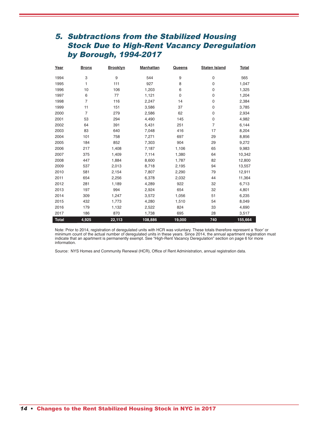# 5. Subtractions from the Stabilized Housing Stock Due to High-Rent Vacancy Deregulation by Borough, 1994-2017

| Year         | <b>Bronx</b>   | <b>Brooklyn</b> | <b>Manhattan</b> | Queens | <b>Staten Island</b> | <b>Total</b> |
|--------------|----------------|-----------------|------------------|--------|----------------------|--------------|
| 1994         | 3              | 9               | 544              | 9      | 0                    | 565          |
| 1995         | 1              | 111             | 927              | 8      | $\mathbf 0$          | 1,047        |
| 1996         | 10             | 106             | 1,203            | 6      | $\mathbf 0$          | 1,325        |
| 1997         | 6              | 77              | 1,121            | 0      | 0                    | 1,204        |
| 1998         | $\overline{7}$ | 116             | 2,247            | 14     | 0                    | 2,384        |
| 1999         | 11             | 151             | 3,586            | 37     | $\mathbf 0$          | 3,785        |
| 2000         | $\overline{7}$ | 279             | 2,586            | 62     | $\mathbf 0$          | 2,934        |
| 2001         | 53             | 294             | 4,490            | 145    | $\mathbf 0$          | 4,982        |
| 2002         | 64             | 391             | 5,431            | 251    | $\overline{7}$       | 6,144        |
| 2003         | 83             | 640             | 7,048            | 416    | 17                   | 8,204        |
| 2004         | 101            | 758             | 7,271            | 697    | 29                   | 8,856        |
| 2005         | 184            | 852             | 7,303            | 904    | 29                   | 9,272        |
| 2006         | 217            | 1,408           | 7,187            | 1,106  | 65                   | 9,983        |
| 2007         | 375            | 1,409           | 7,114            | 1,380  | 64                   | 10,342       |
| 2008         | 447            | 1,884           | 8,600            | 1,787  | 82                   | 12,800       |
| 2009         | 537            | 2,013           | 8,718            | 2,195  | 94                   | 13,557       |
| 2010         | 581            | 2,154           | 7,807            | 2,290  | 79                   | 12,911       |
| 2011         | 654            | 2,256           | 6,378            | 2,032  | 44                   | 11,364       |
| 2012         | 281            | 1,189           | 4,289            | 922    | 32                   | 6,713        |
| 2013         | 197            | 994             | 2,924            | 654    | 32                   | 4,801        |
| 2014         | 309            | 1,247           | 3,572            | 1,056  | 51                   | 6,235        |
| 2015         | 432            | 1,773           | 4,280            | 1,510  | 54                   | 8,049        |
| 2016         | 179            | 1,132           | 2,522            | 824    | 33                   | 4,690        |
| 2017         | 186            | 870             | 1,738            | 695    | 28                   | 3,517        |
| <b>Total</b> | 4,925          | 22,113          | 108,886          | 19,000 | 740                  | 155,664      |

Note: Prior to 2014, registration of deregulated units with HCR was voluntary. These totals therefore represent a 'floor' or minimum count of the actual number of deregulated units in these years. Since 2014, the annual apartment registration must indicate that an apartment is permanently exempt. See "High-Rent Vacancy Deregulation" section on page 6 for more information.

Source: NYS Homes and Community Renewal (HCR), Office of Rent Administration, annual registration data.